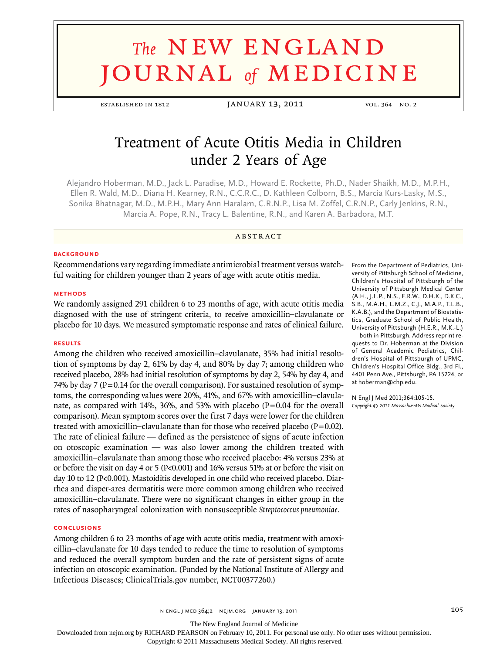# **The NEW ENGLAND** journal *of* medicine

ESTABLISHED IN 1812 **JANUARY 13, 2011** vol. 364 no. 2

# Treatment of Acute Otitis Media in Children under 2 Years of Age

Alejandro Hoberman, M.D., Jack L. Paradise, M.D., Howard E. Rockette, Ph.D., Nader Shaikh, M.D., M.P.H., Ellen R. Wald, M.D., Diana H. Kearney, R.N., C.C.R.C., D. Kathleen Colborn, B.S., Marcia Kurs-Lasky, M.S., Sonika Bhatnagar, M.D., M.P.H., Mary Ann Haralam, C.R.N.P., Lisa M. Zoffel, C.R.N.P., Carly Jenkins, R.N., Marcia A. Pope, R.N., Tracy L. Balentine, R.N., and Karen A. Barbadora, M.T.

# **ABSTRACT**

#### **BACKGROUND**

Recommendations vary regarding immediate antimicrobial treatment versus watchful waiting for children younger than 2 years of age with acute otitis media.

#### **Methods**

We randomly assigned 291 children 6 to 23 months of age, with acute otitis media diagnosed with the use of stringent criteria, to receive amoxicillin–clavulanate or placebo for 10 days. We measured symptomatic response and rates of clinical failure.

#### **Results**

Among the children who received amoxicillin–clavulanate, 35% had initial resolution of symptoms by day 2, 61% by day 4, and 80% by day 7; among children who received placebo, 28% had initial resolution of symptoms by day 2, 54% by day 4, and 74% by day 7 ( $P = 0.14$  for the overall comparison). For sustained resolution of symptoms, the corresponding values were 20%, 41%, and 67% with amoxicillin–clavulanate, as compared with 14%, 36%, and 53% with placebo ( $P=0.04$  for the overall comparison). Mean symptom scores over the first 7 days were lower for the children treated with amoxicillin–clavulanate than for those who received placebo ( $P=0.02$ ). The rate of clinical failure — defined as the persistence of signs of acute infection on otoscopic examination — was also lower among the children treated with amoxicillin–clavulanate than among those who received placebo: 4% versus 23% at or before the visit on day 4 or 5 ( $P<sub>0.001</sub>$ ) and 16% versus 51% at or before the visit on day 10 to 12 (P<0.001). Mastoiditis developed in one child who received placebo. Diarrhea and diaper-area dermatitis were more common among children who received amoxicillin–clavulanate. There were no significant changes in either group in the rates of nasopharyngeal colonization with nonsusceptible *Streptococcus pneumoniae.* 

# **Conclusions**

Among children 6 to 23 months of age with acute otitis media, treatment with amoxicillin–clavulanate for 10 days tended to reduce the time to resolution of symptoms and reduced the overall symptom burden and the rate of persistent signs of acute infection on otoscopic examination. (Funded by the National Institute of Allergy and Infectious Diseases; ClinicalTrials.gov number, NCT00377260.)

From the Department of Pediatrics, University of Pittsburgh School of Medicine, Children's Hospital of Pittsburgh of the University of Pittsburgh Medical Center (A.H., J.L.P., N.S., E.R.W., D.H.K., D.K.C., S.B., M.A.H., L.M.Z., C.J., M.A.P., T.L.B., K.A.B.), and the Department of Biostatistics, Graduate School of Public Health, University of Pittsburgh (H.E.R., M.K.-L.) — both in Pittsburgh. Address reprint requests to Dr. Hoberman at the Division of General Academic Pediatrics, Children's Hospital of Pittsburgh of UPMC, Children's Hospital Office Bldg., 3rd Fl., 4401 Penn Ave., Pittsburgh, PA 15224, or at hoberman@chp.edu.

N Engl J Med 2011;364:105-15. *Copyright © 2011 Massachusetts Medical Society.*

n engl j med 364;2 nejm.org january 13, 2011 105

The New England Journal of Medicine

Downloaded from nejm.org by RICHARD PEARSON on February 10, 2011. For personal use only. No other uses without permission.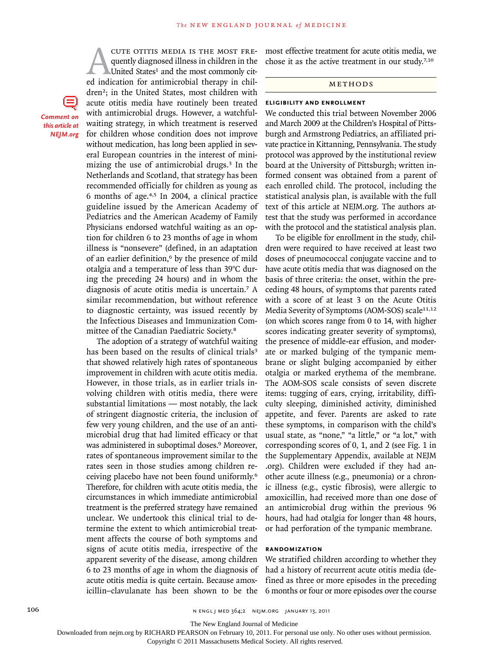*Comment on this article at NEJM.org* 

CUTE OTITIS MEDIA IS THE MOST FRE-<br>quently diagnosed illness in children in the<br>United States<sup>1</sup> and the most commonly cit-<br>ed indication for antimicrobial therapy in chil-United States<sup>1</sup> and the most commonly citdren<sup>2</sup>; in the United States, most children with acute otitis media have routinely been treated with antimicrobial drugs. However, a watchfulwaiting strategy, in which treatment is reserved for children whose condition does not improve without medication, has long been applied in several European countries in the interest of minimizing the use of antimicrobial drugs.<sup>3</sup> In the Netherlands and Scotland, that strategy has been recommended officially for children as young as 6 months of age.4,5 In 2004, a clinical practice guideline issued by the American Academy of Pediatrics and the American Academy of Family Physicians endorsed watchful waiting as an option for children 6 to 23 months of age in whom illness is "nonsevere" (defined, in an adaptation of an earlier definition,<sup>6</sup> by the presence of mild otalgia and a temperature of less than 39°C during the preceding 24 hours) and in whom the diagnosis of acute otitis media is uncertain.7 A similar recommendation, but without reference to diagnostic certainty, was issued recently by the Infectious Diseases and Immunization Committee of the Canadian Paediatric Society.<sup>8</sup>

quently diagnosed illness in children in the

The adoption of a strategy of watchful waiting has been based on the results of clinical trials<sup>3</sup> that showed relatively high rates of spontaneous improvement in children with acute otitis media. However, in those trials, as in earlier trials involving children with otitis media, there were substantial limitations — most notably, the lack of stringent diagnostic criteria, the inclusion of few very young children, and the use of an antimicrobial drug that had limited efficacy or that was administered in suboptimal doses.<sup>9</sup> Moreover, rates of spontaneous improvement similar to the rates seen in those studies among children receiving placebo have not been found uniformly.<sup>6</sup> Therefore, for children with acute otitis media, the circumstances in which immediate antimicrobial treatment is the preferred strategy have remained unclear. We undertook this clinical trial to determine the extent to which antimicrobial treatment affects the course of both symptoms and signs of acute otitis media, irrespective of the apparent severity of the disease, among children 6 to 23 months of age in whom the diagnosis of acute otitis media is quite certain. Because amoxicillin–clavulanate has been shown to be the

most effective treatment for acute otitis media, we chose it as the active treatment in our study.7,10

# METHODS

# **Eligibility and Enrollment**

We conducted this trial between November 2006 and March 2009 at the Children's Hospital of Pittsburgh and Armstrong Pediatrics, an affiliated private practice in Kittanning, Pennsylvania. The study protocol was approved by the institutional review board at the University of Pittsburgh; written informed consent was obtained from a parent of each enrolled child. The protocol, including the statistical analysis plan, is available with the full text of this article at NEJM.org. The authors attest that the study was performed in accordance with the protocol and the statistical analysis plan.

To be eligible for enrollment in the study, children were required to have received at least two doses of pneumococcal conjugate vaccine and to have acute otitis media that was diagnosed on the basis of three criteria: the onset, within the preceding 48 hours, of symptoms that parents rated with a score of at least 3 on the Acute Otitis Media Severity of Symptoms (AOM-SOS) scale<sup>11,12</sup> (on which scores range from 0 to 14, with higher scores indicating greater severity of symptoms), the presence of middle-ear effusion, and moderate or marked bulging of the tympanic membrane or slight bulging accompanied by either otalgia or marked erythema of the membrane. The AOM-SOS scale consists of seven discrete items: tugging of ears, crying, irritability, difficulty sleeping, diminished activity, diminished appetite, and fever. Parents are asked to rate these symptoms, in comparison with the child's usual state, as "none," "a little," or "a lot," with corresponding scores of 0, 1, and 2 (see Fig. 1 in the Supplementary Appendix, available at NEJM .org). Children were excluded if they had another acute illness (e.g., pneumonia) or a chronic illness (e.g., cystic fibrosis), were allergic to amoxicillin, had received more than one dose of an antimicrobial drug within the previous 96 hours, had had otalgia for longer than 48 hours, or had perforation of the tympanic membrane.

# **Randomization**

We stratified children according to whether they had a history of recurrent acute otitis media (defined as three or more episodes in the preceding 6 months or four or more episodes over the course

106 **106** N ENGL J MED 364;2 NEJM.ORG JANUARY 13, 2011

Downloaded from nejm.org by RICHARD PEARSON on February 10, 2011. For personal use only. No other uses without permission.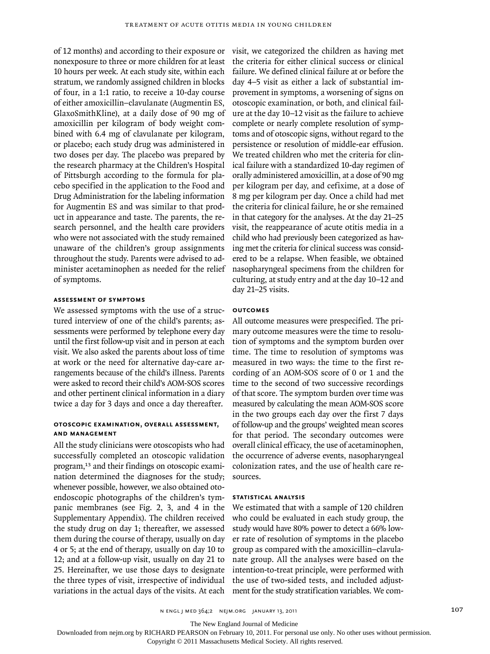of 12 months) and according to their exposure or nonexposure to three or more children for at least 10 hours per week. At each study site, within each stratum, we randomly assigned children in blocks of four, in a 1:1 ratio, to receive a 10-day course of either amoxicillin–clavulanate (Augmentin ES, GlaxoSmithKline), at a daily dose of 90 mg of amoxicillin per kilogram of body weight combined with 6.4 mg of clavulanate per kilogram, or placebo; each study drug was administered in two doses per day. The placebo was prepared by the research pharmacy at the Children's Hospital of Pittsburgh according to the formula for placebo specified in the application to the Food and Drug Administration for the labeling information for Augmentin ES and was similar to that product in appearance and taste. The parents, the research personnel, and the health care providers who were not associated with the study remained unaware of the children's group assignments throughout the study. Parents were advised to administer acetaminophen as needed for the relief of symptoms.

#### **Assessment of Symptoms**

We assessed symptoms with the use of a structured interview of one of the child's parents; assessments were performed by telephone every day until the first follow-up visit and in person at each visit. We also asked the parents about loss of time at work or the need for alternative day-care arrangements because of the child's illness. Parents were asked to record their child's AOM-SOS scores and other pertinent clinical information in a diary twice a day for 3 days and once a day thereafter.

# **Otoscopic Examination, Overall Assessment, and Management**

All the study clinicians were otoscopists who had successfully completed an otoscopic validation program,13 and their findings on otoscopic examination determined the diagnoses for the study; whenever possible, however, we also obtained otoendoscopic photographs of the children's tympanic membranes (see Fig. 2, 3, and 4 in the Supplementary Appendix). The children received the study drug on day 1; thereafter, we assessed them during the course of therapy, usually on day 4 or 5; at the end of therapy, usually on day 10 to 12; and at a follow-up visit, usually on day 21 to 25. Hereinafter, we use those days to designate the three types of visit, irrespective of individual variations in the actual days of the visits. At each visit, we categorized the children as having met the criteria for either clinical success or clinical failure. We defined clinical failure at or before the day 4–5 visit as either a lack of substantial improvement in symptoms, a worsening of signs on otoscopic examination, or both, and clinical failure at the day 10–12 visit as the failure to achieve complete or nearly complete resolution of symptoms and of otoscopic signs, without regard to the persistence or resolution of middle-ear effusion. We treated children who met the criteria for clinical failure with a standardized 10-day regimen of orally administered amoxicillin, at a dose of 90 mg per kilogram per day, and cefixime, at a dose of 8 mg per kilogram per day. Once a child had met the criteria for clinical failure, he or she remained in that category for the analyses. At the day 21–25 visit, the reappearance of acute otitis media in a child who had previously been categorized as having met the criteria for clinical success was considered to be a relapse. When feasible, we obtained nasopharyngeal specimens from the children for culturing, at study entry and at the day 10–12 and day 21–25 visits.

## **Outcomes**

All outcome measures were prespecified*.* The primary outcome measures were the time to resolution of symptoms and the symptom burden over time. The time to resolution of symptoms was measured in two ways: the time to the first recording of an AOM-SOS score of 0 or 1 and the time to the second of two successive recordings of that score. The symptom burden over time was measured by calculating the mean AOM-SOS score in the two groups each day over the first 7 days of follow-up and the groups' weighted mean scores for that period. The secondary outcomes were overall clinical efficacy, the use of acetaminophen, the occurrence of adverse events, nasopharyngeal colonization rates, and the use of health care resources.

#### **Statistical Analysis**

We estimated that with a sample of 120 children who could be evaluated in each study group, the study would have 80% power to detect a 66% lower rate of resolution of symptoms in the placebo group as compared with the amoxicillin–clavulanate group. All the analyses were based on the intention-to-treat principle, were performed with the use of two-sided tests, and included adjustment for the study stratification variables. We com-

The New England Journal of Medicine

Downloaded from nejm.org by RICHARD PEARSON on February 10, 2011. For personal use only. No other uses without permission.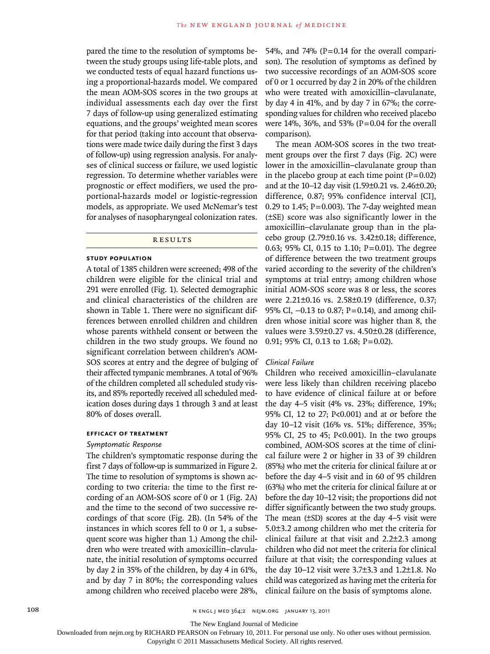pared the time to the resolution of symptoms between the study groups using life-table plots, and we conducted tests of equal hazard functions using a proportional-hazards model. We compared the mean AOM-SOS scores in the two groups at individual assessments each day over the first 7 days of follow-up using generalized estimating equations, and the groups' weighted mean scores for that period (taking into account that observations were made twice daily during the first 3 days of follow-up) using regression analysis. For analyses of clinical success or failure, we used logistic regression. To determine whether variables were prognostic or effect modifiers, we used the proportional-hazards model or logistic-regression models, as appropriate. We used McNemar's test for analyses of nasopharyngeal colonization rates.

#### **RESULTS**

# **Study Population**

A total of 1385 children were screened; 498 of the children were eligible for the clinical trial and 291 were enrolled (Fig. 1). Selected demographic and clinical characteristics of the children are shown in Table 1. There were no significant differences between enrolled children and children whose parents withheld consent or between the children in the two study groups. We found no significant correlation between children's AOM-SOS scores at entry and the degree of bulging of their affected tympanic membranes. A total of 96% of the children completed all scheduled study visits, and 85% reportedly received all scheduled medication doses during days 1 through 3 and at least 80% of doses overall.

# **Efficacy of Treatment**

#### *Symptomatic Response*

The children's symptomatic response during the first 7 days of follow-up is summarized in Figure 2. The time to resolution of symptoms is shown according to two criteria: the time to the first recording of an AOM-SOS score of 0 or 1 (Fig. 2A) and the time to the second of two successive recordings of that score (Fig. 2B). (In 54% of the instances in which scores fell to 0 or 1, a subsequent score was higher than 1.) Among the children who were treated with amoxicillin–clavulanate, the initial resolution of symptoms occurred by day 2 in 35% of the children, by day 4 in 61%, and by day 7 in 80%; the corresponding values among children who received placebo were 28%,

54%, and 74% ( $P = 0.14$  for the overall comparison). The resolution of symptoms as defined by two successive recordings of an AOM-SOS score of 0 or 1 occurred by day 2 in 20% of the children who were treated with amoxicillin–clavulanate, by day 4 in 41%, and by day 7 in 67%; the corresponding values for children who received placebo were 14%, 36%, and 53% ( $P = 0.04$  for the overall comparison).

The mean AOM-SOS scores in the two treatment groups over the first 7 days (Fig. 2C) were lower in the amoxicillin–clavulanate group than in the placebo group at each time point  $(P=0.02)$ and at the 10–12 day visit (1.59±0.21 vs. 2.46±0.20; difference, 0.87; 95% confidence interval [CI], 0.29 to 1.45;  $P = 0.003$ ). The 7-day weighted mean (±SE) score was also significantly lower in the amoxicillin–clavulanate group than in the placebo group (2.79±0.16 vs. 3.42±0.18; difference, 0.63; 95% CI, 0.15 to 1.10; P=0.01). The degree of difference between the two treatment groups varied according to the severity of the children's symptoms at trial entry; among children whose initial AOM-SOS score was 8 or less, the scores were 2.21±0.16 vs. 2.58±0.19 (difference, 0.37; 95% CI, -0.13 to 0.87; P=0.14), and among children whose initial score was higher than 8, the values were 3.59±0.27 vs. 4.50±0.28 (difference, 0.91; 95% CI, 0.13 to 1.68; P=0.02).

#### *Clinical Failure*

Children who received amoxicillin–clavulanate were less likely than children receiving placebo to have evidence of clinical failure at or before the day 4–5 visit (4% vs. 23%; difference, 19%; 95% CI, 12 to 27; P<0.001) and at or before the day 10–12 visit (16% vs. 51%; difference, 35%; 95% CI, 25 to 45; P<0.001). In the two groups combined, AOM-SOS scores at the time of clinical failure were 2 or higher in 33 of 39 children (85%) who met the criteria for clinical failure at or before the day 4–5 visit and in 60 of 95 children (63%) who met the criteria for clinical failure at or before the day 10–12 visit; the proportions did not differ significantly between the two study groups. The mean (±SD) scores at the day 4–5 visit were 5.0±3.2 among children who met the criteria for clinical failure at that visit and 2.2±2.3 among children who did not meet the criteria for clinical failure at that visit; the corresponding values at the day 10–12 visit were 3.7±3.3 and 1.2±1.8. No child was categorized as having met the criteria for clinical failure on the basis of symptoms alone.

108 n engl j med 364;2 nejm.org january 13, 2011

The New England Journal of Medicine

Downloaded from nejm.org by RICHARD PEARSON on February 10, 2011. For personal use only. No other uses without permission.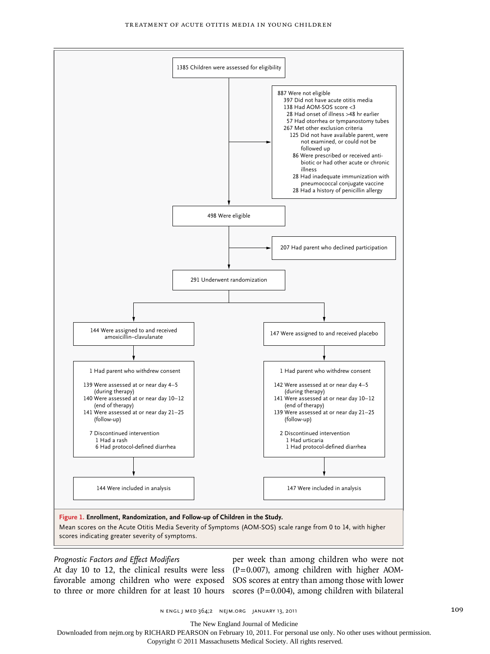

# *Prognostic Factors and Effect Modifiers*

At day 10 to 12, the clinical results were less  $(P=0.007)$ , among children with higher AOMfavorable among children who were exposed SOS scores at entry than among those with lower to three or more children for at least 10 hours scores  $(P=0.004)$ , among children with bilateral

per week than among children who were not

The New England Journal of Medicine

Downloaded from nejm.org by RICHARD PEARSON on February 10, 2011. For personal use only. No other uses without permission.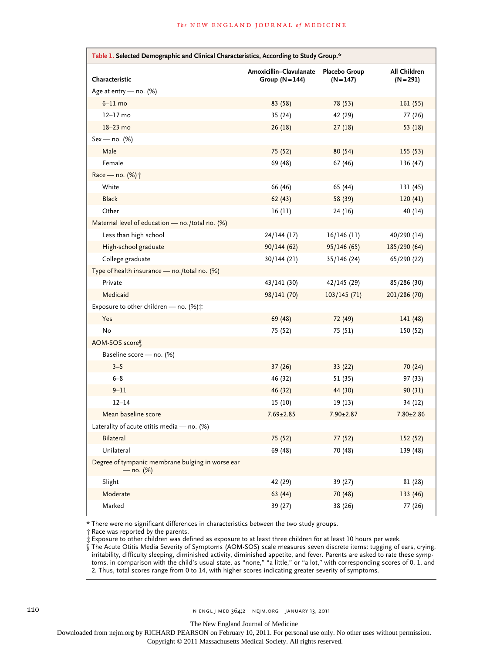| Table 1. Selected Demographic and Clinical Characteristics, According to Study Group.* |                                            |                              |                             |  |  |  |  |  |
|----------------------------------------------------------------------------------------|--------------------------------------------|------------------------------|-----------------------------|--|--|--|--|--|
| Characteristic                                                                         | Amoxicillin-Clavulanate<br>Group $(N=144)$ | Placebo Group<br>$(N = 147)$ | All Children<br>$(N = 291)$ |  |  |  |  |  |
| Age at entry - no. (%)                                                                 |                                            |                              |                             |  |  |  |  |  |
| $6-11$ mo                                                                              | 83 (58)                                    | 78 (53)                      | 161(55)                     |  |  |  |  |  |
| $12-17$ mo                                                                             | 35 (24)                                    | 42 (29)                      | 77 (26)                     |  |  |  |  |  |
| $18-23$ mo                                                                             | 26(18)                                     | 27(18)                       | 53(18)                      |  |  |  |  |  |
| Sex - no. (%)                                                                          |                                            |                              |                             |  |  |  |  |  |
| Male                                                                                   | 75 (52)                                    | 80(54)                       | 155(53)                     |  |  |  |  |  |
| Female                                                                                 | 69 (48)                                    | 67 (46)                      | 136 (47)                    |  |  |  |  |  |
| Race - no. (%) <sup>+</sup>                                                            |                                            |                              |                             |  |  |  |  |  |
| White                                                                                  | 66 (46)                                    | 65 (44)                      | 131 (45)                    |  |  |  |  |  |
| <b>Black</b>                                                                           | 62(43)                                     | 58 (39)                      | 120(41)                     |  |  |  |  |  |
| Other                                                                                  | 16(11)                                     | 24 (16)                      | 40 (14)                     |  |  |  |  |  |
| Maternal level of education - no./total no. (%)                                        |                                            |                              |                             |  |  |  |  |  |
| Less than high school                                                                  | 24/144(17)                                 | 16/146(11)                   | 40/290 (14)                 |  |  |  |  |  |
| High-school graduate                                                                   | 90/144(62)                                 | 95/146(65)                   | 185/290 (64)                |  |  |  |  |  |
| College graduate                                                                       | 30/144(21)                                 | 35/146 (24)                  | 65/290 (22)                 |  |  |  |  |  |
| Type of health insurance - no./total no. (%)                                           |                                            |                              |                             |  |  |  |  |  |
| Private                                                                                | 43/141 (30)                                | 42/145 (29)                  | 85/286 (30)                 |  |  |  |  |  |
| Medicaid                                                                               | 98/141 (70)                                | 103/145(71)                  | 201/286 (70)                |  |  |  |  |  |
| Exposure to other children - no. $(\%)$ :                                              |                                            |                              |                             |  |  |  |  |  |
| <b>Yes</b>                                                                             | 69 (48)                                    | 72 (49)                      | 141 (48)                    |  |  |  |  |  |
| No                                                                                     | 75 (52)                                    | 75 (51)                      | 150 (52)                    |  |  |  |  |  |
| AOM-SOS scores                                                                         |                                            |                              |                             |  |  |  |  |  |
| Baseline score - no. (%)                                                               |                                            |                              |                             |  |  |  |  |  |
| $3 - 5$                                                                                | 37(26)                                     | 33(22)                       | 70 (24)                     |  |  |  |  |  |
| $6 - 8$                                                                                | 46 (32)                                    | 51 (35)                      | 97 (33)                     |  |  |  |  |  |
| $9 - 11$                                                                               | 46 (32)                                    | 44 (30)                      | 90(31)                      |  |  |  |  |  |
| $12 - 14$                                                                              | 15(10)                                     | 19 (13)                      | 34 (12)                     |  |  |  |  |  |
| Mean baseline score                                                                    | $7.69 \pm 2.85$                            | $7.90 \pm 2.87$              | $7.80 \pm 2.86$             |  |  |  |  |  |
| Laterality of acute otitis media $-$ no. (%)                                           |                                            |                              |                             |  |  |  |  |  |
| <b>Bilateral</b>                                                                       | 75 (52)                                    | 77 (52)                      | 152 (52)                    |  |  |  |  |  |
| Unilateral                                                                             | 69 (48)                                    | 70 (48)                      | 139 (48)                    |  |  |  |  |  |
| Degree of tympanic membrane bulging in worse ear<br>$-$ no. (%)                        |                                            |                              |                             |  |  |  |  |  |
| Slight                                                                                 | 42 (29)                                    | 39 (27)                      | 81 (28)                     |  |  |  |  |  |
| Moderate                                                                               | 63 (44)                                    | 70 (48)                      | 133 (46)                    |  |  |  |  |  |
| Marked                                                                                 | 39 (27)                                    | 38 (26)                      | 77 (26)                     |  |  |  |  |  |

\* There were no significant differences in characteristics between the two study groups.

† Race was reported by the parents.

‡ Exposure to other children was defined as exposure to at least three children for at least 10 hours per week.

§ The Acute Otitis Media Severity of Symptoms (AOM-SOS) scale measures seven discrete items: tugging of ears, crying, irritability, difficulty sleeping, diminished activity, diminished appetite, and fever. Parents are asked to rate these symptoms, in comparison with the child's usual state, as "none," "a little," or "a lot," with corresponding scores of 0, 1, and 2. Thus, total scores range from 0 to 14, with higher scores indicating greater severity of symptoms.

The New England Journal of Medicine

Downloaded from nejm.org by RICHARD PEARSON on February 10, 2011. For personal use only. No other uses without permission.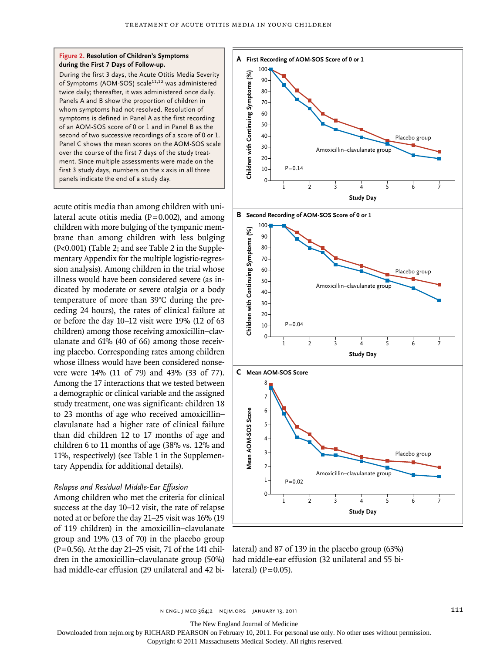#### **Figure 2. Resolution of Children's Symptoms during the First 7 Days of Follow-up.**

During the first 3 days, the Acute Otitis Media Severity of Symptoms (AOM-SOS) scale<sup>11,12</sup> was administered twice daily; thereafter, it was administered once daily. Panels A and B show the proportion of children in whom symptoms had not resolved. Resolution of symptoms is defined in Panel A as the first recording of an AOM-SOS score of 0 or 1 and in Panel B as the second of two successive recordings of a score of 0 or 1. Panel C shows the mean scores on the AOM-SOS scale over the course of the first 7 days of the study treatment. Since multiple assessments were made on the first 3 study days, numbers on the x axis in all three panels indicate the end of a study day.

acute otitis media than among children with unilateral acute otitis media  $(P=0.002)$ , and among children with more bulging of the tympanic membrane than among children with less bulging (P<0.001) (Table 2; and see Table 2 in the Supplementary Appendix for the multiple logistic-regression analysis). Among children in the trial whose illness would have been considered severe (as indicated by moderate or severe otalgia or a body temperature of more than 39°C during the preceding 24 hours), the rates of clinical failure at or before the day 10–12 visit were 19% (12 of 63 children) among those receiving amoxicillin–clavulanate and 61% (40 of 66) among those receiving placebo. Corresponding rates among children whose illness would have been considered nonsevere were 14% (11 of 79) and 43% (33 of 77). Among the 17 interactions that we tested between a demographic or clinical variable and the assigned study treatment, one was significant: children 18 to 23 months of age who received amoxicillin– clavulanate had a higher rate of clinical failure than did children 12 to 17 months of age and children 6 to 11 months of age (38% vs. 12% and 11%, respectively) (see Table 1 in the Supplementary Appendix for additional details).

# *Relapse and Residual Middle-Ear Effusion*

Among children who met the criteria for clinical success at the day 10–12 visit, the rate of relapse noted at or before the day 21–25 visit was 16% (19 of 119 children) in the amoxicillin–clavulanate group and 19% (13 of 70) in the placebo group (P=0.56). At the day 21–25 visit, 71 of the 141 children in the amoxicillin–clavulanate group (50%) had middle-ear effusion (29 unilateral and 42 bi-lateral) (P=0.05).



lateral) and 87 of 139 in the placebo group (63%) had middle-ear effusion (32 unilateral and 55 bi-

n ENGL | MED 364;2 NEJM.ORG | ANUARY 13, 2011 111 111

The New England Journal of Medicine

Downloaded from nejm.org by RICHARD PEARSON on February 10, 2011. For personal use only. No other uses without permission.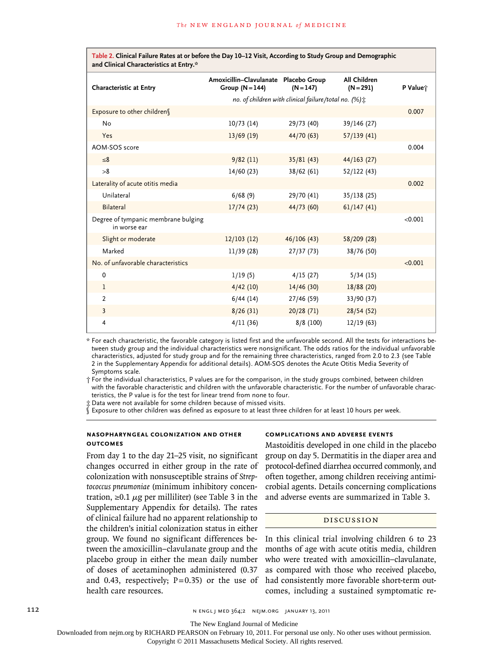| Table 2. Clinical Failure Rates at or before the Day 10–12 Visit, According to Study Group and Demographic<br>and Clinical Characteristics at Entry.* |                                                          |             |                             |          |  |  |  |  |  |
|-------------------------------------------------------------------------------------------------------------------------------------------------------|----------------------------------------------------------|-------------|-----------------------------|----------|--|--|--|--|--|
| <b>Characteristic at Entry</b>                                                                                                                        | Amoxicillin-Clavulanate Placebo Group<br>Group $(N=144)$ | $(N = 147)$ | All Children<br>$(N = 291)$ | P Value; |  |  |  |  |  |
|                                                                                                                                                       | no. of children with clinical failure/total no. $(\%)$ : |             |                             |          |  |  |  |  |  |
| Exposure to other children                                                                                                                            |                                                          |             |                             | 0.007    |  |  |  |  |  |
| No                                                                                                                                                    | 10/73(14)                                                | 29/73 (40)  | 39/146 (27)                 |          |  |  |  |  |  |
| Yes                                                                                                                                                   | 13/69(19)                                                | 44/70 (63)  | 57/139(41)                  |          |  |  |  |  |  |
| AOM-SOS score                                                                                                                                         |                                                          |             |                             | 0.004    |  |  |  |  |  |
| ≤8                                                                                                                                                    | 9/82(11)                                                 | 35/81(43)   | 44/163(27)                  |          |  |  |  |  |  |
| >8                                                                                                                                                    | 14/60(23)                                                | 38/62(61)   | 52/122(43)                  |          |  |  |  |  |  |
| Laterality of acute otitis media                                                                                                                      |                                                          |             |                             | 0.002    |  |  |  |  |  |
| Unilateral                                                                                                                                            | 6/68(9)                                                  | 29/70 (41)  | 35/138 (25)                 |          |  |  |  |  |  |
| Bilateral                                                                                                                                             | 17/74(23)                                                | 44/73(60)   | 61/147(41)                  |          |  |  |  |  |  |
| Degree of tympanic membrane bulging<br>in worse ear                                                                                                   |                                                          |             |                             | < 0.001  |  |  |  |  |  |
| Slight or moderate                                                                                                                                    | 12/103(12)                                               | 46/106(43)  | 58/209 (28)                 |          |  |  |  |  |  |
| Marked                                                                                                                                                | 11/39(28)                                                | 27/37(73)   | 38/76 (50)                  |          |  |  |  |  |  |
| No. of unfavorable characteristics                                                                                                                    |                                                          |             |                             | < 0.001  |  |  |  |  |  |
| 0                                                                                                                                                     | 1/19(5)                                                  | 4/15(27)    | 5/34(15)                    |          |  |  |  |  |  |
| 1                                                                                                                                                     | 4/42(10)                                                 | 14/46(30)   | 18/88 (20)                  |          |  |  |  |  |  |
| $\overline{2}$                                                                                                                                        | 6/44(14)                                                 | 27/46 (59)  | 33/90 (37)                  |          |  |  |  |  |  |
| $\overline{3}$                                                                                                                                        | 8/26(31)                                                 | 20/28(71)   | 28/54(52)                   |          |  |  |  |  |  |
| $\overline{4}$                                                                                                                                        | 4/11(36)                                                 | 8/8(100)    | 12/19(63)                   |          |  |  |  |  |  |

\* For each characteristic, the favorable category is listed first and the unfavorable second. All the tests for interactions between study group and the individual characteristics were nonsignificant. The odds ratios for the individual unfavorable characteristics, adjusted for study group and for the remaining three characteristics, ranged from 2.0 to 2.3 (see Table 2 in the Supplementary Appendix for additional details). AOM-SOS denotes the Acute Otitis Media Severity of Symptoms scale.

† For the individual characteristics, P values are for the comparison, in the study groups combined, between children with the favorable characteristic and children with the unfavorable characteristic. For the number of unfavorable characteristics, the P value is for the test for linear trend from none to four.

‡ Data were not available for some children because of missed visits.

§ Exposure to other children was defined as exposure to at least three children for at least 10 hours per week.

# **Nasopharyngeal Colonization and Other Outcomes**

From day 1 to the day 21–25 visit, no significant changes occurred in either group in the rate of colonization with nonsusceptible strains of *Streptococcus pneumoniae* (minimum inhibitory concentration,  $\geq 0.1 \mu$ g per milliliter) (see Table 3 in the Supplementary Appendix for details). The rates of clinical failure had no apparent relationship to the children's initial colonization status in either group. We found no significant differences between the amoxicillin–clavulanate group and the placebo group in either the mean daily number of doses of acetaminophen administered (0.37 and 0.43, respectively;  $P=0.35$ ) or the use of health care resources.

#### **Complications and Adverse Events**

Mastoiditis developed in one child in the placebo group on day 5. Dermatitis in the diaper area and protocol-defined diarrhea occurred commonly, and often together, among children receiving antimicrobial agents. Details concerning complications and adverse events are summarized in Table 3.

# Discussion

In this clinical trial involving children 6 to 23 months of age with acute otitis media, children who were treated with amoxicillin–clavulanate, as compared with those who received placebo, had consistently more favorable short-term outcomes, including a sustained symptomatic re-

112 **n engl j med 364;2 NEIM.ORG JANUARY 13, 2011** 

The New England Journal of Medicine

Downloaded from nejm.org by RICHARD PEARSON on February 10, 2011. For personal use only. No other uses without permission.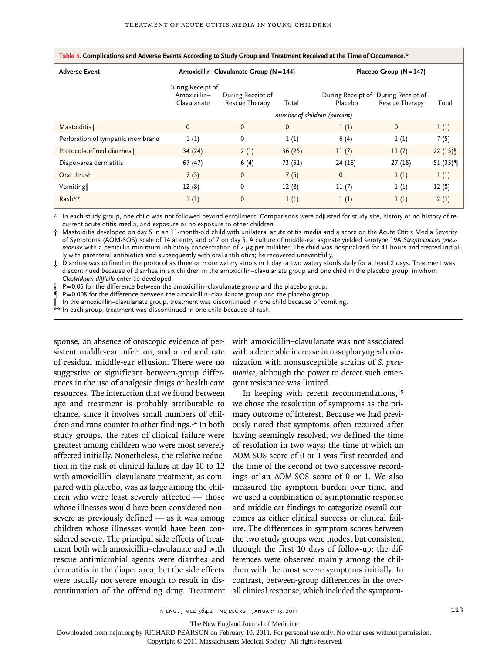| Table 3. Complications and Adverse Events According to Study Group and Treatment Received at the Time of Occurrence.* |                                                  |                                     |          |                                         |                                                       |           |  |  |  |
|-----------------------------------------------------------------------------------------------------------------------|--------------------------------------------------|-------------------------------------|----------|-----------------------------------------|-------------------------------------------------------|-----------|--|--|--|
| <b>Adverse Event</b>                                                                                                  | Amoxicillin-Clavulanate Group (N=144)            |                                     |          |                                         | Placebo Group $(N = 147)$                             |           |  |  |  |
|                                                                                                                       | During Receipt of<br>Amoxicillin-<br>Clavulanate | During Receipt of<br>Rescue Therapy | Total    | Placebo<br>number of children (percent) | During Receipt of During Receipt of<br>Rescue Therapy | Total     |  |  |  |
| Mastoiditis <sup>+</sup>                                                                                              | $\mathbf 0$                                      | $\mathbf 0$                         | $\Omega$ | 1(1)                                    | $\Omega$                                              | 1(1)      |  |  |  |
| Perforation of tympanic membrane                                                                                      | 1(1)                                             | $\mathbf 0$                         | 1(1)     | 6(4)                                    | 1(1)                                                  | 7(5)      |  |  |  |
| Protocol-defined diarrheat:                                                                                           | 34(24)                                           | 2(1)                                | 36(25)   | 11(7)                                   | 11(7)                                                 | 22(15)    |  |  |  |
| Diaper-area dermatitis                                                                                                | 67(47)                                           | 6(4)                                | 73 (51)  | 24 (16)                                 | 27(18)                                                | 51 $(35)$ |  |  |  |
| Oral thrush                                                                                                           | 7(5)                                             | $\mathbf 0$                         | 7(5)     | $\mathbf 0$                             | 1(1)                                                  | 1(1)      |  |  |  |
| Vomiting                                                                                                              | 12(8)                                            | 0                                   | 12(8)    | 11(7)                                   | 1(1)                                                  | 12(8)     |  |  |  |
| Rash**                                                                                                                | 1(1)                                             | $\mathbf 0$                         | 1(1)     | 1(1)                                    | 1(1)                                                  | 2(1)      |  |  |  |

\* In each study group, one child was not followed beyond enrollment. Comparisons were adjusted for study site, history or no history of recurrent acute otitis media, and exposure or no exposure to other children.

† Mastoiditis developed on day 5 in an 11-month-old child with unilateral acute otitis media and a score on the Acute Otitis Media Severity of Symptoms (AOM-SOS) scale of 14 at entry and of 7 on day 5. A culture of middle-ear aspirate yielded serotype 19A *Streptococcus pneumoniae* with a penicillin minimum inhibitory concentration of 2 μg per milliliter. The child was hospitalized for 41 hours and treated initially with parenteral antibiotics and subsequently with oral antibiotics; he recovered uneventfully.

‡ Diarrhea was defined in the protocol as three or more watery stools in 1 day or two watery stools daily for at least 2 days. Treatment was discontinued because of diarrhea in six children in the amoxicillin–clavulanate group and one child in the placebo group, in whom *Clostridium difficile* enteritis developed.

P=0.05 for the difference between the amoxicillin-clavulanate group and the placebo group.

 $\blacksquare$  P=0.008 for the difference between the amoxicillin–clavulanate group and the placebo group.

In the amoxicillin-clavulanate group, treatment was discontinued in one child because of vomiting.

\*\* In each group, treatment was discontinued in one child because of rash.

sponse, an absence of otoscopic evidence of persistent middle-ear infection, and a reduced rate of residual middle-ear effusion. There were no suggestive or significant between-group differences in the use of analgesic drugs or health care resources. The interaction that we found between age and treatment is probably attributable to chance, since it involves small numbers of children and runs counter to other findings.14 In both study groups, the rates of clinical failure were greatest among children who were most severely affected initially. Nonetheless, the relative reduction in the risk of clinical failure at day 10 to 12 with amoxicillin–clavulanate treatment, as compared with placebo, was as large among the children who were least severely affected — those whose illnesses would have been considered nonsevere as previously defined — as it was among children whose illnesses would have been considered severe. The principal side effects of treatment both with amoxicillin–clavulanate and with rescue antimicrobial agents were diarrhea and dermatitis in the diaper area, but the side effects were usually not severe enough to result in discontinuation of the offending drug. Treatment with amoxicillin–clavulanate was not associated with a detectable increase in nasopharyngeal colonization with nonsusceptible strains of *S. pneumoniae,* although the power to detect such emergent resistance was limited.

In keeping with recent recommendations,<sup>15</sup> we chose the resolution of symptoms as the primary outcome of interest. Because we had previously noted that symptoms often recurred after having seemingly resolved, we defined the time of resolution in two ways: the time at which an AOM-SOS score of 0 or 1 was first recorded and the time of the second of two successive recordings of an AOM-SOS score of 0 or 1. We also measured the symptom burden over time, and we used a combination of symptomatic response and middle-ear findings to categorize overall outcomes as either clinical success or clinical failure. The differences in symptom scores between the two study groups were modest but consistent through the first 10 days of follow-up; the differences were observed mainly among the children with the most severe symptoms initially. In contrast, between-group differences in the overall clinical response, which included the symptom-

n ENGL | MED 364;2 NEJM.ORG | ANUARY 13, 2011 113

The New England Journal of Medicine

Downloaded from nejm.org by RICHARD PEARSON on February 10, 2011. For personal use only. No other uses without permission.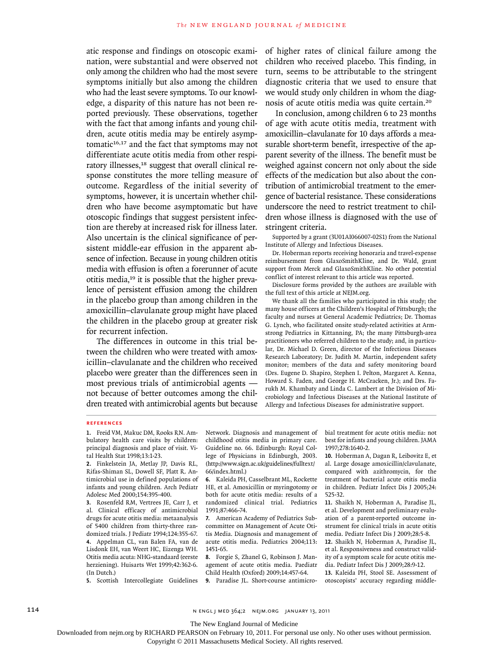atic response and findings on otoscopic examination, were substantial and were observed not only among the children who had the most severe symptoms initially but also among the children who had the least severe symptoms. To our knowledge, a disparity of this nature has not been reported previously. These observations, together with the fact that among infants and young children, acute otitis media may be entirely asymptomatic<sup>16,17</sup> and the fact that symptoms may not differentiate acute otitis media from other respiratory illnesses,<sup>18</sup> suggest that overall clinical response constitutes the more telling measure of outcome. Regardless of the initial severity of symptoms, however, it is uncertain whether children who have become asymptomatic but have otoscopic findings that suggest persistent infection are thereby at increased risk for illness later. Also uncertain is the clinical significance of persistent middle-ear effusion in the apparent absence of infection. Because in young children otitis media with effusion is often a forerunner of acute otitis media,19 it is possible that the higher prevalence of persistent effusion among the children in the placebo group than among children in the amoxicillin–clavulanate group might have placed the children in the placebo group at greater risk for recurrent infection.

The differences in outcome in this trial between the children who were treated with amoxicillin–clavulanate and the children who received placebo were greater than the differences seen in most previous trials of antimicrobial agents not because of better outcomes among the children treated with antimicrobial agents but because of higher rates of clinical failure among the children who received placebo. This finding, in turn, seems to be attributable to the stringent diagnostic criteria that we used to ensure that we would study only children in whom the diagnosis of acute otitis media was quite certain.<sup>20</sup>

In conclusion, among children 6 to 23 months of age with acute otitis media, treatment with amoxicillin–clavulanate for 10 days affords a measurable short-term benefit, irrespective of the apparent severity of the illness. The benefit must be weighed against concern not only about the side effects of the medication but also about the contribution of antimicrobial treatment to the emergence of bacterial resistance. These considerations underscore the need to restrict treatment to children whose illness is diagnosed with the use of stringent criteria.

Supported by a grant (3U01AI066007-02S1) from the National Institute of Allergy and Infectious Diseases.

Dr. Hoberman reports receiving honoraria and travel-expense reimbursement from GlaxoSmithKline, and Dr. Wald, grant support from Merck and GlaxoSmithKline. No other potential conflict of interest relevant to this article was reported.

Disclosure forms provided by the authors are available with the full text of this article at NEJM.org.

We thank all the families who participated in this study; the many house officers at the Children's Hospital of Pittsburgh; the faculty and nurses at General Academic Pediatrics; Dr. Thomas G. Lynch, who facilitated onsite study-related activities at Armstrong Pediatrics in Kittanning, PA; the many Pittsburgh-area practitioners who referred children to the study; and, in particular, Dr. Michael D. Green, director of the Infectious Diseases Research Laboratory; Dr. Judith M. Martin, independent safety monitor; members of the data and safety monitoring board (Drs. Eugene D. Shapiro, Stephen I. Pelton, Margaret A. Kenna, Howard S. Faden, and George H. McCracken, Jr.); and Drs. Farukh M. Khambaty and Linda C. Lambert at the Division of Microbiology and Infectious Diseases at the National Institute of Allergy and Infectious Diseases for administrative support.

#### **References**

**5.** Scottish Intercollegiate Guidelines

Network. Diagnosis and management of childhood otitis media in primary care. Guideline no. 66. Edinburgh: Royal College of Physicians in Edinburgh, 2003. (http://www.sign.ac.uk/guidelines/fulltext/ 66/index.html.)

**6.** Kaleida PH, Casselbrant ML, Rockette HE, et al. Amoxicillin or myringotomy or both for acute otitis media: results of a randomized clinical trial. Pediatrics 1991;87:466-74.

**7.** American Academy of Pediatrics Subcommittee on Management of Acute Otitis Media. Diagnosis and management of acute otitis media. Pediatrics 2004;113: 1451-65.

**8.** Forgie S, Zhanel G, Robinson J. Management of acute otitis media. Paediatr Child Health (Oxford) 2009;14:457-64.

**9.** Paradise JL. Short-course antimicro-

bial treatment for acute otitis media: not best for infants and young children. JAMA 1997;278:1640-2.

**10.** Hoberman A, Dagan R, Leibovitz E, et al. Large dosage amoxicillin/clavulanate, compared with azithromycin, for the treatment of bacterial acute otitis media in children. Pediatr Infect Dis J 2005;24: 525-32.

**11.** Shaikh N, Hoberman A, Paradise JL, et al. Development and preliminary evaluation of a parent-reported outcome instrument for clinical trials in acute otitis media. Pediatr Infect Dis J 2009;28:5-8.

**12.** Shaikh N, Hoberman A, Paradise JL, et al. Responsiveness and construct validity of a symptom scale for acute otitis media. Pediatr Infect Dis J 2009;28:9-12.

**13.** Kaleida PH, Stool SE. Assessment of otoscopists' accuracy regarding middle-

114 **114** N ENGL J MED 364;2 NEJM.ORG JANUARY 13, 2011

The New England Journal of Medicine

Downloaded from nejm.org by RICHARD PEARSON on February 10, 2011. For personal use only. No other uses without permission.

**<sup>1.</sup>** Freid VM, Makuc DM, Rooks RN. Ambulatory health care visits by children: principal diagnosis and place of visit. Vital Health Stat 1998;13:1-23.

**<sup>2.</sup>** Finkelstein JA, Metlay JP, Davis RL, Rifas-Shiman SL, Dowell SF, Platt R. Antimicrobial use in defined populations of infants and young children. Arch Pediatr Adolesc Med 2000;154:395-400.

**<sup>3.</sup>** Rosenfeld RM, Vertrees JE, Carr J, et al. Clinical efficacy of antimicrobial drugs for acute otitis media: metaanalysis of 5400 children from thirty-three randomized trials. J Pediatr 1994;124:355-67. **4.** Appelman CL, van Balen FA, van de Lisdonk EH, van Weert HC, Eizenga WH. Otitis media acuta: NHG-standaard (eerste herziening). Huisarts Wet 1999;42:362-6. (In Dutch.)